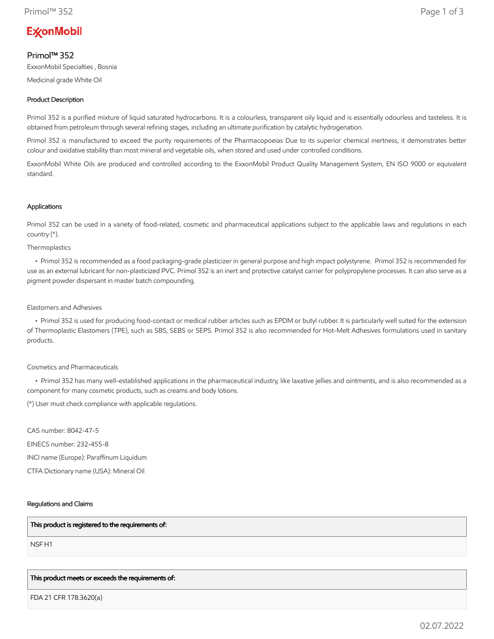# **ExconMobil**

# Primol™ 352

ExxonMobil Specialties , Bosnia

Medicinal grade White Oil

# Product Description

Primol 352 is a purified mixture of liquid saturated hydrocarbons. It is a colourless, transparent oily liquid and is essentially odourless and tasteless. It is obtained from petroleum through several refining stages, including an ultimate purification by catalytic hydrogenation.

Primol 352 is manufactured to exceed the purity requirements of the Pharmacopoeias Due to its superior chemical inertness, it demonstrates better colour and oxidative stability than most mineral and vegetable oils, when stored and used under controlled conditions.

ExxonMobil White Oils are produced and controlled according to the ExxonMobil Product Quality Management System, EN ISO 9000 or equivalent standard.

#### Applications

Primol 352 can be used in a variety of food-related, cosmetic and pharmaceutical applications subject to the applicable laws and regulations in each country (\*).

Thermoplastics

 • Primol 352 is recommended as a food packaging-grade plasticizer in general purpose and high impact polystyrene. Primol 352 is recommended for use as an external lubricant for non-plasticized PVC. Primol 352 is an inert and protective catalyst carrier for polypropylene processes. It can also serve as a pigment powder dispersant in master batch compounding.

#### Elastomers and Adhesives

 • Primol 352 is used for producing food-contact or medical rubber articles such as EPDM or butyl rubber. It is particularly well suited for the extension of Thermoplastic Elastomers (TPE), such as SBS, SEBS or SEPS. Primol 352 is also recommended for Hot-Melt Adhesives formulations used in sanitary products.

## Cosmetics and Pharmaceuticals

 • Primol 352 has many well-established applications in the pharmaceutical industry, like laxative jellies and ointments, and is also recommended as a component for many cosmetic products, such as creams and body lotions.

(\*) User must check compliance with applicable regulations.

CAS number: 8042-47-5 EINECS number: 232-455-8 INCI name (Europe): Paraffinum Liquidum CTFA Dictionary name (USA): Mineral Oil

## Regulations and Claims

## This product is registered to the requirements of:

NSF H1

## This product meets or exceeds the requirements of:

FDA 21 CFR 178.3620(a)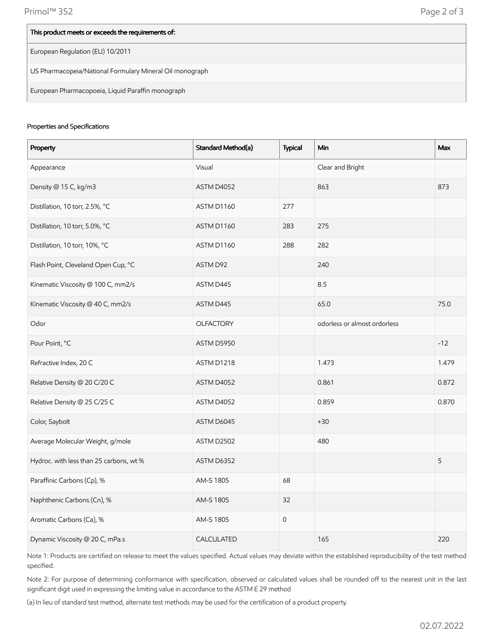| This product meets or exceeds the requirements of:       |
|----------------------------------------------------------|
| European Regulation (EU) 10/2011                         |
| US Pharmacopeia/National Formulary Mineral Oil monograph |
| European Pharmacopoeia, Liquid Paraffin monograph        |

#### Properties and Specifications

| Property                                | Standard Method(a) | <b>Typical</b>      | Min                          | Max   |
|-----------------------------------------|--------------------|---------------------|------------------------------|-------|
| Appearance                              | Visual             |                     | Clear and Bright             |       |
| Density @ 15 C, kg/m3                   | ASTM D4052         |                     | 863                          | 873   |
| Distillation, 10 torr, 2.5%, °C         | ASTM D1160         | 277                 |                              |       |
| Distillation, 10 torr, 5.0%, °C         | ASTM D1160         | 283                 | 275                          |       |
| Distillation, 10 torr, 10%, °C          | ASTM D1160         | 288                 | 282                          |       |
| Flash Point, Cleveland Open Cup, °C     | ASTM D92           |                     | 240                          |       |
| Kinematic Viscosity @ 100 C, mm2/s      | ASTM D445          |                     | 8.5                          |       |
| Kinematic Viscosity @ 40 C, mm2/s       | ASTM D445          |                     | 65.0                         | 75.0  |
| Odor                                    | <b>OLFACTORY</b>   |                     | odorless or almost ordorless |       |
| Pour Point, °C                          | ASTM D5950         |                     |                              | $-12$ |
| Refractive Index, 20 C                  | ASTM D1218         |                     | 1.473                        | 1.479 |
| Relative Density @ 20 C/20 C            | ASTM D4052         |                     | 0.861                        | 0.872 |
| Relative Density @ 25 C/25 C            | ASTM D4052         |                     | 0.859                        | 0.870 |
| Color, Saybolt                          | ASTM D6045         |                     | $+30$                        |       |
| Average Molecular Weight, g/mole        | ASTM D2502         |                     | 480                          |       |
| Hydroc. with less than 25 carbons, wt % | ASTM D6352         |                     |                              | 5     |
| Paraffinic Carbons (Cp), %              | AM-S 1805          | 68                  |                              |       |
| Naphthenic Carbons (Cn), %              | AM-S 1805          | 32                  |                              |       |
| Aromatic Carbons (Ca), %                | AM-S 1805          | $\mathsf{O}\xspace$ |                              |       |
| Dynamic Viscosity @ 20 C, mPa.s         | CALCULATED         |                     | 165                          | 220   |

Note 1: Products are certified on release to meet the values specified. Actual values may deviate within the established reproducibility of the test method specified.

Note 2: For purpose of determining conformance with specification, observed or calculated values shall be rounded off to the nearest unit in the last significant digit used in expressing the limiting value in accordance to the ASTM E 29 method

(a) In lieu of standard test method, alternate test methods may be used for the certification of a product property.